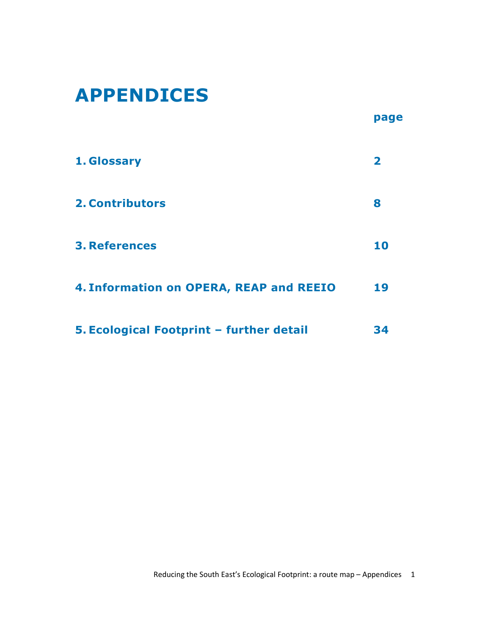# APPENDICES

|                                          | page                    |
|------------------------------------------|-------------------------|
| 1. Glossary                              | $\overline{\mathbf{2}}$ |
| <b>2. Contributors</b>                   | 8                       |
| <b>3. References</b>                     | 10                      |
| 4. Information on OPERA, REAP and REEIO  | 19                      |
| 5. Ecological Footprint - further detail | 34                      |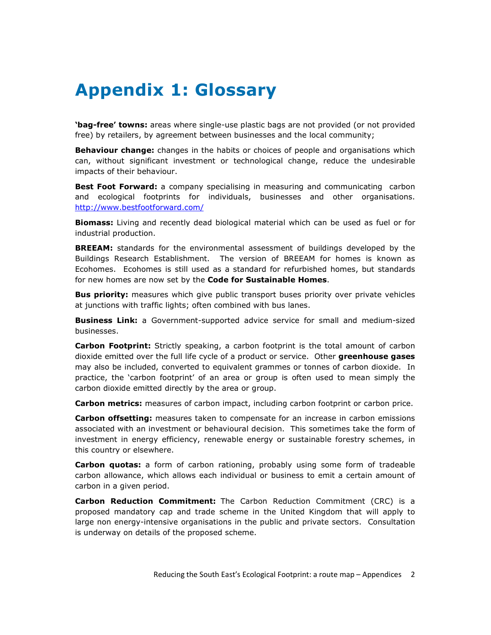# Appendix 1: Glossary

**'bag-free' towns:** areas where single-use plastic bags are not provided (or not provided free) by retailers, by agreement between businesses and the local community;

**Behaviour change:** changes in the habits or choices of people and organisations which can, without significant investment or technological change, reduce the undesirable impacts of their behaviour.

**Best Foot Forward:** a company specialising in measuring and communicating carbon and ecological footprints for individuals, businesses and other organisations. http://www.bestfootforward.com/

**Biomass:** Living and recently dead biological material which can be used as fuel or for industrial production.

**BREEAM:** standards for the environmental assessment of buildings developed by the Buildings Research Establishment. The version of BREEAM for homes is known as Ecohomes. Ecohomes is still used as a standard for refurbished homes, but standards for new homes are now set by the Code for Sustainable Homes.

**Bus priority:** measures which give public transport buses priority over private vehicles at junctions with traffic lights; often combined with bus lanes.

**Business Link:** a Government-supported advice service for small and medium-sized businesses.

**Carbon Footprint:** Strictly speaking, a carbon footprint is the total amount of carbon dioxide emitted over the full life cycle of a product or service. Other greenhouse gases may also be included, converted to equivalent grammes or tonnes of carbon dioxide. In practice, the 'carbon footprint' of an area or group is often used to mean simply the carbon dioxide emitted directly by the area or group.

Carbon metrics: measures of carbon impact, including carbon footprint or carbon price.

**Carbon offsetting:** measures taken to compensate for an increase in carbon emissions associated with an investment or behavioural decision. This sometimes take the form of investment in energy efficiency, renewable energy or sustainable forestry schemes, in this country or elsewhere.

Carbon quotas: a form of carbon rationing, probably using some form of tradeable carbon allowance, which allows each individual or business to emit a certain amount of carbon in a given period.

**Carbon Reduction Commitment:** The Carbon Reduction Commitment (CRC) is a proposed mandatory cap and trade scheme in the United Kingdom that will apply to large non energy-intensive organisations in the public and private sectors. Consultation is underway on details of the proposed scheme.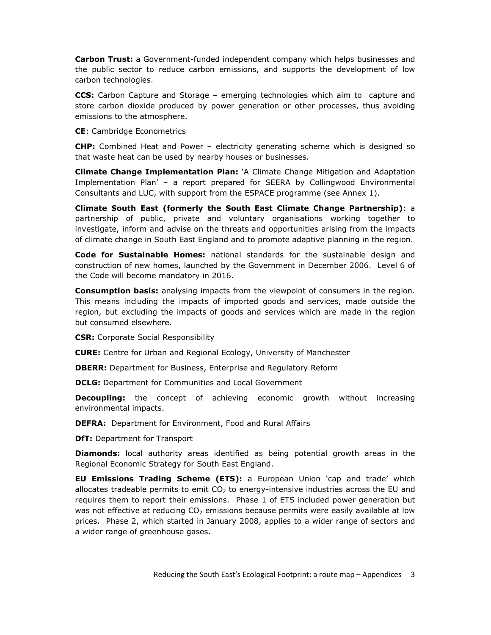**Carbon Trust:** a Government-funded independent company which helps businesses and the public sector to reduce carbon emissions, and supports the development of low carbon technologies.

CCS: Carbon Capture and Storage – emerging technologies which aim to capture and store carbon dioxide produced by power generation or other processes, thus avoiding emissions to the atmosphere.

CE: Cambridge Econometrics

CHP: Combined Heat and Power – electricity generating scheme which is designed so that waste heat can be used by nearby houses or businesses.

Climate Change Implementation Plan: 'A Climate Change Mitigation and Adaptation Implementation Plan' – a report prepared for SEERA by Collingwood Environmental Consultants and LUC, with support from the ESPACE programme (see Annex 1).

Climate South East (formerly the South East Climate Change Partnership): a partnership of public, private and voluntary organisations working together to investigate, inform and advise on the threats and opportunities arising from the impacts of climate change in South East England and to promote adaptive planning in the region.

Code for Sustainable Homes: national standards for the sustainable design and construction of new homes, launched by the Government in December 2006. Level 6 of the Code will become mandatory in 2016.

**Consumption basis:** analysing impacts from the viewpoint of consumers in the region. This means including the impacts of imported goods and services, made outside the region, but excluding the impacts of goods and services which are made in the region but consumed elsewhere.

**CSR:** Corporate Social Responsibility

CURE: Centre for Urban and Regional Ecology, University of Manchester

**DBERR:** Department for Business, Enterprise and Regulatory Reform

**DCLG:** Department for Communities and Local Government

**Decoupling:** the concept of achieving economic growth without increasing environmental impacts.

DEFRA: Department for Environment, Food and Rural Affairs

**DfT: Department for Transport** 

**Diamonds:** local authority areas identified as being potential growth areas in the Regional Economic Strategy for South East England.

EU Emissions Trading Scheme (ETS): a European Union 'cap and trade' which allocates tradeable permits to emit  $CO<sub>2</sub>$  to energy-intensive industries across the EU and requires them to report their emissions. Phase 1 of ETS included power generation but was not effective at reducing  $CO<sub>2</sub>$  emissions because permits were easily available at low prices. Phase 2, which started in January 2008, applies to a wider range of sectors and a wider range of greenhouse gases.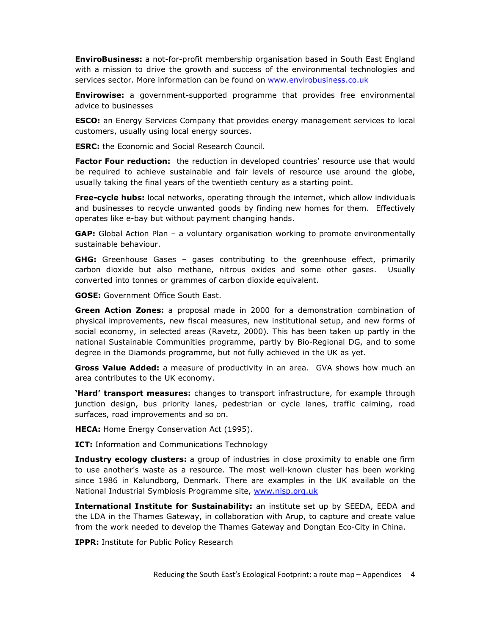**EnviroBusiness:** a not-for-profit membership organisation based in South East England with a mission to drive the growth and success of the environmental technologies and services sector. More information can be found on www.envirobusiness.co.uk

**Envirowise:** a government-supported programme that provides free environmental advice to businesses

**ESCO:** an Energy Services Company that provides energy management services to local customers, usually using local energy sources.

ESRC: the Economic and Social Research Council.

Factor Four reduction: the reduction in developed countries' resource use that would be required to achieve sustainable and fair levels of resource use around the globe, usually taking the final years of the twentieth century as a starting point.

Free-cycle hubs: local networks, operating through the internet, which allow individuals and businesses to recycle unwanted goods by finding new homes for them. Effectively operates like e-bay but without payment changing hands.

GAP: Global Action Plan - a voluntary organisation working to promote environmentally sustainable behaviour.

GHG: Greenhouse Gases - gases contributing to the greenhouse effect, primarily carbon dioxide but also methane, nitrous oxides and some other gases. Usually converted into tonnes or grammes of carbon dioxide equivalent.

GOSE: Government Office South East.

Green Action Zones: a proposal made in 2000 for a demonstration combination of physical improvements, new fiscal measures, new institutional setup, and new forms of social economy, in selected areas (Ravetz, 2000). This has been taken up partly in the national Sustainable Communities programme, partly by Bio-Regional DG, and to some degree in the Diamonds programme, but not fully achieved in the UK as yet.

**Gross Value Added:** a measure of productivity in an area. GVA shows how much an area contributes to the UK economy.

**Hard' transport measures:** changes to transport infrastructure, for example through junction design, bus priority lanes, pedestrian or cycle lanes, traffic calming, road surfaces, road improvements and so on.

**HECA:** Home Energy Conservation Act (1995).

**ICT:** Information and Communications Technology

Industry ecology clusters: a group of industries in close proximity to enable one firm to use another's waste as a resource. The most well-known cluster has been working since 1986 in Kalundborg, Denmark. There are examples in the UK available on the National Industrial Symbiosis Programme site, www.nisp.org.uk

International Institute for Sustainability: an institute set up by SEEDA, EEDA and the LDA in the Thames Gateway, in collaboration with Arup, to capture and create value from the work needed to develop the Thames Gateway and Dongtan Eco-City in China.

**IPPR:** Institute for Public Policy Research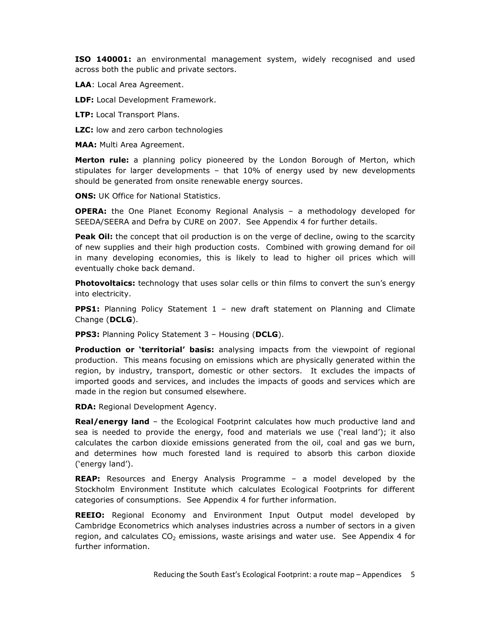ISO 140001: an environmental management system, widely recognised and used across both the public and private sectors.

LAA: Local Area Agreement.

LDF: Local Development Framework.

LTP: Local Transport Plans.

**LZC:** low and zero carbon technologies

MAA: Multi Area Agreement.

Merton rule: a planning policy pioneered by the London Borough of Merton, which stipulates for larger developments – that 10% of energy used by new developments should be generated from onsite renewable energy sources.

**ONS: UK Office for National Statistics.** 

OPERA: the One Planet Economy Regional Analysis – a methodology developed for SEEDA/SEERA and Defra by CURE on 2007. See Appendix 4 for further details.

**Peak Oil:** the concept that oil production is on the verge of decline, owing to the scarcity of new supplies and their high production costs. Combined with growing demand for oil in many developing economies, this is likely to lead to higher oil prices which will eventually choke back demand.

**Photovoltaics:** technology that uses solar cells or thin films to convert the sun's energy into electricity.

**PPS1:** Planning Policy Statement 1 - new draft statement on Planning and Climate Change (DCLG).

PPS3: Planning Policy Statement 3 - Housing (DCLG).

**Production or 'territorial' basis:** analysing impacts from the viewpoint of regional production. This means focusing on emissions which are physically generated within the region, by industry, transport, domestic or other sectors. It excludes the impacts of imported goods and services, and includes the impacts of goods and services which are made in the region but consumed elsewhere.

RDA: Regional Development Agency.

**Real/energy land** – the Ecological Footprint calculates how much productive land and sea is needed to provide the energy, food and materials we use ('real land'); it also calculates the carbon dioxide emissions generated from the oil, coal and gas we burn, and determines how much forested land is required to absorb this carbon dioxide ('energy land').

REAP: Resources and Energy Analysis Programme – a model developed by the Stockholm Environment Institute which calculates Ecological Footprints for different categories of consumptions. See Appendix 4 for further information.

REEIO: Regional Economy and Environment Input Output model developed by Cambridge Econometrics which analyses industries across a number of sectors in a given region, and calculates  $CO<sub>2</sub>$  emissions, waste arisings and water use. See Appendix 4 for further information.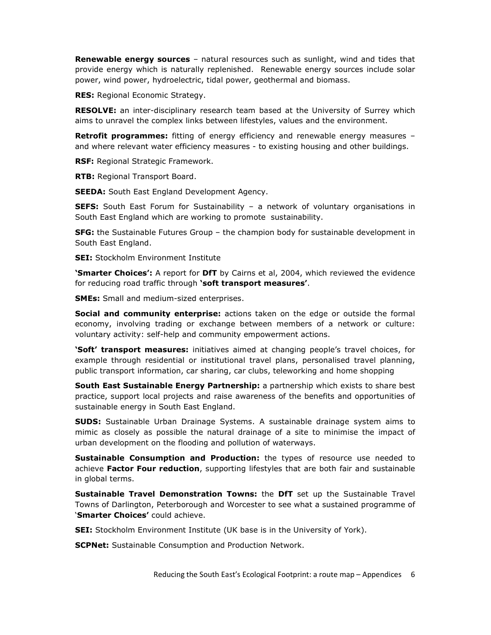**Renewable energy sources** – natural resources such as sunlight, wind and tides that provide energy which is naturally replenished. Renewable energy sources include solar power, wind power, hydroelectric, tidal power, geothermal and biomass.

RES: Regional Economic Strategy.

RESOLVE: an inter-disciplinary research team based at the University of Surrey which aims to unravel the complex links between lifestyles, values and the environment.

Retrofit programmes: fitting of energy efficiency and renewable energy measures and where relevant water efficiency measures - to existing housing and other buildings.

RSF: Regional Strategic Framework.

RTB: Regional Transport Board.

**SEEDA:** South East England Development Agency.

SEFS: South East Forum for Sustainability - a network of voluntary organisations in South East England which are working to promote sustainability.

**SFG:** the Sustainable Futures Group – the champion body for sustainable development in South East England.

SEI: Stockholm Environment Institute

**'Smarter Choices':** A report for DfT by Cairns et al, 2004, which reviewed the evidence for reducing road traffic through 'soft transport measures'.

**SMEs:** Small and medium-sized enterprises.

Social and community enterprise: actions taken on the edge or outside the formal economy, involving trading or exchange between members of a network or culture: voluntary activity: self-help and community empowerment actions.

**'Soft' transport measures:** initiatives aimed at changing people's travel choices, for example through residential or institutional travel plans, personalised travel planning, public transport information, car sharing, car clubs, teleworking and home shopping

South East Sustainable Energy Partnership: a partnership which exists to share best practice, support local projects and raise awareness of the benefits and opportunities of sustainable energy in South East England.

SUDS: Sustainable Urban Drainage Systems. A sustainable drainage system aims to mimic as closely as possible the natural drainage of a site to minimise the impact of urban development on the flooding and pollution of waterways.

Sustainable Consumption and Production: the types of resource use needed to achieve Factor Four reduction, supporting lifestyles that are both fair and sustainable in global terms.

Sustainable Travel Demonstration Towns: the DfT set up the Sustainable Travel Towns of Darlington, Peterborough and Worcester to see what a sustained programme of 'Smarter Choices' could achieve.

**SEI:** Stockholm Environment Institute (UK base is in the University of York).

**SCPNet:** Sustainable Consumption and Production Network.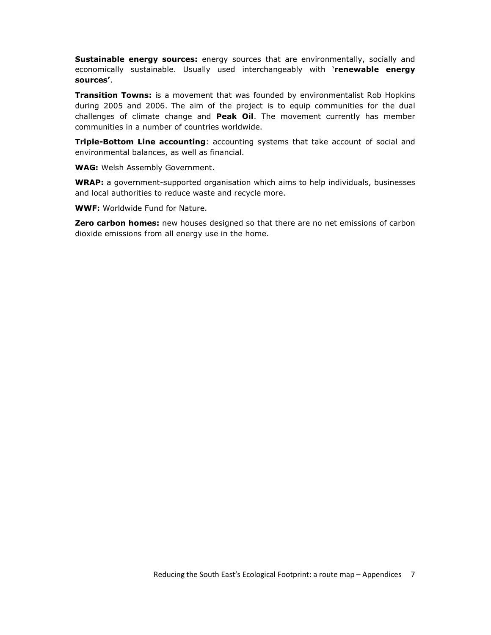Sustainable energy sources: energy sources that are environmentally, socially and economically sustainable. Usually used interchangeably with 'renewable energy sources'.

**Transition Towns:** is a movement that was founded by environmentalist Rob Hopkins during 2005 and 2006. The aim of the project is to equip communities for the dual challenges of climate change and **Peak Oil**. The movement currently has member communities in a number of countries worldwide.

**Triple-Bottom Line accounting**: accounting systems that take account of social and environmental balances, as well as financial.

WAG: Welsh Assembly Government.

WRAP: a government-supported organisation which aims to help individuals, businesses and local authorities to reduce waste and recycle more.

WWF: Worldwide Fund for Nature.

Zero carbon homes: new houses designed so that there are no net emissions of carbon dioxide emissions from all energy use in the home.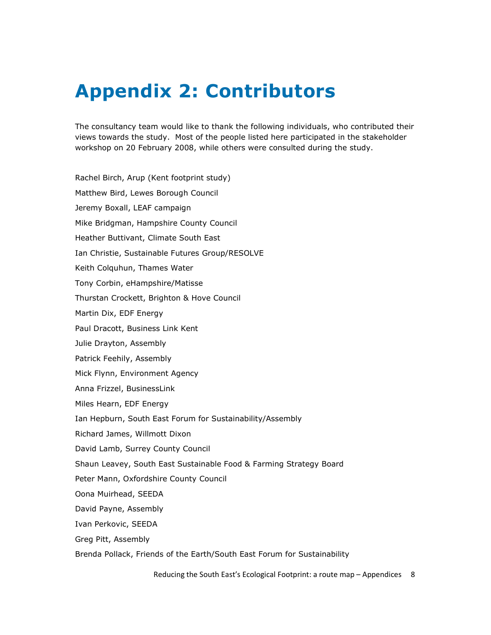# Appendix 2: Contributors

The consultancy team would like to thank the following individuals, who contributed their views towards the study. Most of the people listed here participated in the stakeholder workshop on 20 February 2008, while others were consulted during the study.

Rachel Birch, Arup (Kent footprint study) Matthew Bird, Lewes Borough Council Jeremy Boxall, LEAF campaign Mike Bridgman, Hampshire County Council Heather Buttivant, Climate South East Ian Christie, Sustainable Futures Group/RESOLVE Keith Colquhun, Thames Water Tony Corbin, eHampshire/Matisse Thurstan Crockett, Brighton & Hove Council Martin Dix, EDF Energy Paul Dracott, Business Link Kent Julie Drayton, Assembly Patrick Feehily, Assembly Mick Flynn, Environment Agency Anna Frizzel, BusinessLink Miles Hearn, EDF Energy Ian Hepburn, South East Forum for Sustainability/Assembly Richard James, Willmott Dixon David Lamb, Surrey County Council Shaun Leavey, South East Sustainable Food & Farming Strategy Board Peter Mann, Oxfordshire County Council Oona Muirhead, SEEDA David Payne, Assembly Ivan Perkovic, SEEDA Greg Pitt, Assembly Brenda Pollack, Friends of the Earth/South East Forum for Sustainability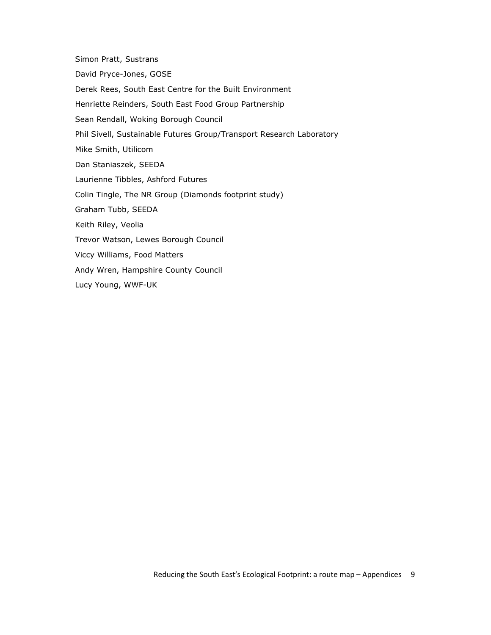Simon Pratt, Sustrans David Pryce-Jones, GOSE Derek Rees, South East Centre for the Built Environment Henriette Reinders, South East Food Group Partnership Sean Rendall, Woking Borough Council Phil Sivell, Sustainable Futures Group/Transport Research Laboratory Mike Smith, Utilicom Dan Staniaszek, SEEDA Laurienne Tibbles, Ashford Futures Colin Tingle, The NR Group (Diamonds footprint study) Graham Tubb, SEEDA Keith Riley, Veolia Trevor Watson, Lewes Borough Council Viccy Williams, Food Matters Andy Wren, Hampshire County Council Lucy Young, WWF-UK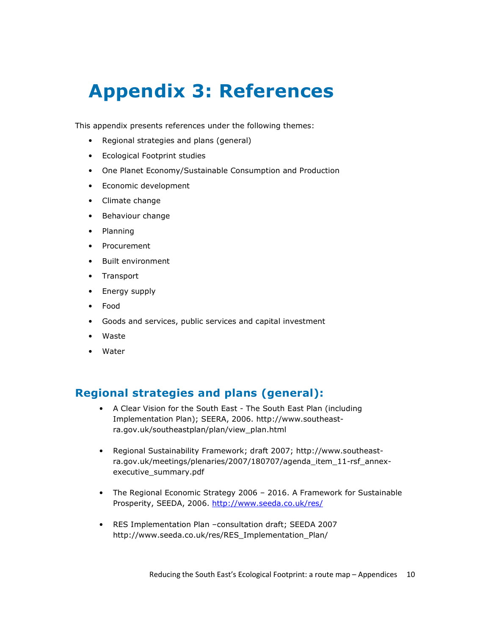# Appendix 3: References

This appendix presents references under the following themes:

- Regional strategies and plans (general)
- Ecological Footprint studies
- One Planet Economy/Sustainable Consumption and Production
- Economic development
- Climate change
- Behaviour change
- Planning
- Procurement
- Built environment
- Transport
- Energy supply
- Food
- Goods and services, public services and capital investment
- **Waste**
- Water

## Regional strategies and plans (general):

- A Clear Vision for the South East The South East Plan (including Implementation Plan); SEERA, 2006. http://www.southeastra.gov.uk/southeastplan/plan/view\_plan.html
- Regional Sustainability Framework; draft 2007; http://www.southeastra.gov.uk/meetings/plenaries/2007/180707/agenda\_item\_11-rsf\_annexexecutive\_summary.pdf
- The Regional Economic Strategy 2006 2016. A Framework for Sustainable Prosperity, SEEDA, 2006. http://www.seeda.co.uk/res/
- RES Implementation Plan –consultation draft; SEEDA 2007 http://www.seeda.co.uk/res/RES\_Implementation\_Plan/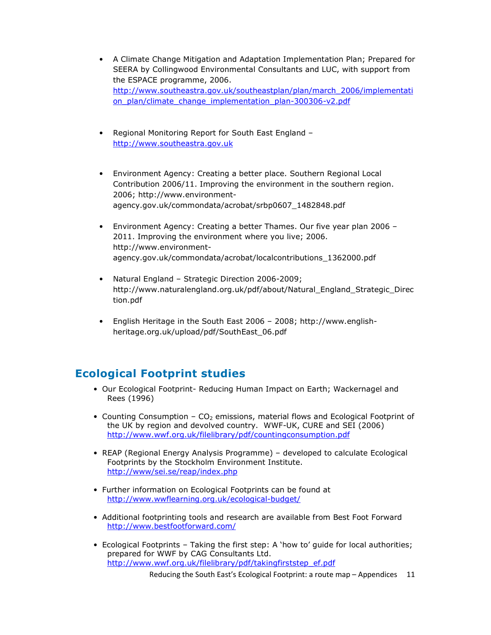- A Climate Change Mitigation and Adaptation Implementation Plan; Prepared for SEERA by Collingwood Environmental Consultants and LUC, with support from the ESPACE programme, 2006. http://www.southeastra.gov.uk/southeastplan/plan/march\_2006/implementati on\_plan/climate\_change\_implementation\_plan-300306-v2.pdf
- Regional Monitoring Report for South East England http://www.southeastra.gov.uk
- Environment Agency: Creating a better place. Southern Regional Local Contribution 2006/11. Improving the environment in the southern region. 2006; http://www.environmentagency.gov.uk/commondata/acrobat/srbp0607\_1482848.pdf
- Environment Agency: Creating a better Thames. Our five year plan 2006 2011. Improving the environment where you live; 2006. http://www.environmentagency.gov.uk/commondata/acrobat/localcontributions\_1362000.pdf
- Natural England Strategic Direction 2006-2009; http://www.naturalengland.org.uk/pdf/about/Natural\_England\_Strategic\_Direc tion.pdf
- English Heritage in the South East 2006 2008; http://www.englishheritage.org.uk/upload/pdf/SouthEast\_06.pdf

## Ecological Footprint studies

- Our Ecological Footprint- Reducing Human Impact on Earth; Wackernagel and Rees (1996)
- Counting Consumption  $CO<sub>2</sub>$  emissions, material flows and Ecological Footprint of the UK by region and devolved country. WWF-UK, CURE and SEI (2006) http://www.wwf.org.uk/filelibrary/pdf/countingconsumption.pdf
- REAP (Regional Energy Analysis Programme) developed to calculate Ecological Footprints by the Stockholm Environment Institute. http://www/sei.se/reap/index.php
- Further information on Ecological Footprints can be found at http://www.wwflearning.org.uk/ecological-budget/
- Additional footprinting tools and research are available from Best Foot Forward http://www.bestfootforward.com/
- Ecological Footprints Taking the first step: A 'how to' guide for local authorities; prepared for WWF by CAG Consultants Ltd. http://www.wwf.org.uk/filelibrary/pdf/takingfirststep\_ef.pdf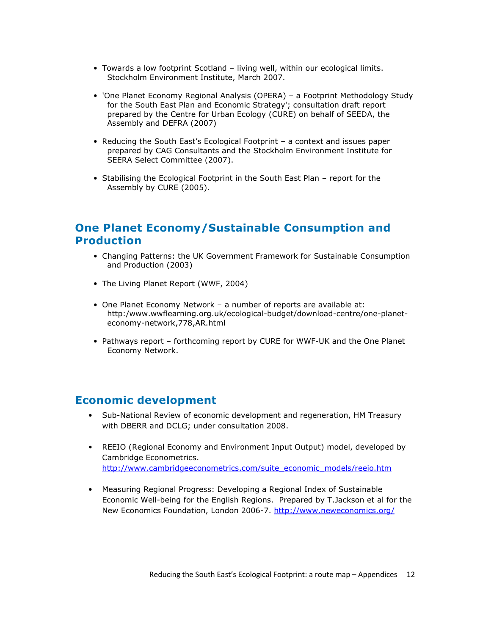- Towards a low footprint Scotland living well, within our ecological limits. Stockholm Environment Institute, March 2007.
- 'One Planet Economy Regional Analysis (OPERA) a Footprint Methodology Study for the South East Plan and Economic Strategy'; consultation draft report prepared by the Centre for Urban Ecology (CURE) on behalf of SEEDA, the Assembly and DEFRA (2007)
- Reducing the South East's Ecological Footprint a context and issues paper prepared by CAG Consultants and the Stockholm Environment Institute for SEERA Select Committee (2007).
- Stabilising the Ecological Footprint in the South East Plan report for the Assembly by CURE (2005).

## One Planet Economy/Sustainable Consumption and **Production**

- Changing Patterns: the UK Government Framework for Sustainable Consumption and Production (2003)
- The Living Planet Report (WWF, 2004)
- One Planet Economy Network a number of reports are available at: http:/www.wwflearning.org.uk/ecological-budget/download-centre/one-planeteconomy-network,778,AR.html
- Pathways report forthcoming report by CURE for WWF-UK and the One Planet Economy Network.

#### Economic development

- Sub-National Review of economic development and regeneration, HM Treasury with DBERR and DCLG; under consultation 2008.
- REEIO (Regional Economy and Environment Input Output) model, developed by Cambridge Econometrics. http://www.cambridgeeconometrics.com/suite\_economic\_models/reeio.htm
- Measuring Regional Progress: Developing a Regional Index of Sustainable Economic Well-being for the English Regions. Prepared by T.Jackson et al for the New Economics Foundation, London 2006-7. http://www.neweconomics.org/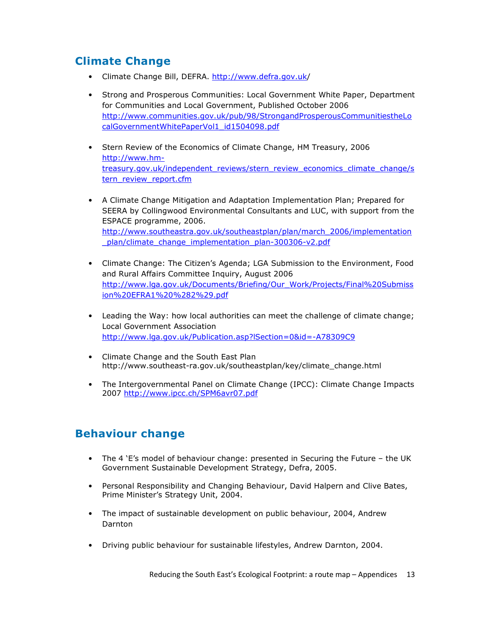## Climate Change

- Climate Change Bill, DEFRA. http://www.defra.gov.uk/
- Strong and Prosperous Communities: Local Government White Paper, Department for Communities and Local Government, Published October 2006 http://www.communities.gov.uk/pub/98/StrongandProsperousCommunitiestheLo calGovernmentWhitePaperVol1\_id1504098.pdf
- Stern Review of the Economics of Climate Change, HM Treasury, 2006 http://www.hmtreasury.gov.uk/independent\_reviews/stern\_review\_economics\_climate\_change/s tern\_review\_report.cfm
- A Climate Change Mitigation and Adaptation Implementation Plan; Prepared for SEERA by Collingwood Environmental Consultants and LUC, with support from the ESPACE programme, 2006. http://www.southeastra.gov.uk/southeastplan/plan/march\_2006/implementation \_plan/climate\_change\_implementation\_plan-300306-v2.pdf
- Climate Change: The Citizen's Agenda; LGA Submission to the Environment, Food and Rural Affairs Committee Inquiry, August 2006 http://www.lga.gov.uk/Documents/Briefing/Our\_Work/Projects/Final%20Submiss ion%20EFRA1%20%282%29.pdf
- Leading the Way: how local authorities can meet the challenge of climate change; Local Government Association http://www.lga.gov.uk/Publication.asp?lSection=0&id=-A78309C9
- Climate Change and the South East Plan http://www.southeast-ra.gov.uk/southeastplan/key/climate\_change.html
- The Intergovernmental Panel on Climate Change (IPCC): Climate Change Impacts 2007 http://www.ipcc.ch/SPM6avr07.pdf

# Behaviour change

- The 4 'E's model of behaviour change: presented in Securing the Future the UK Government Sustainable Development Strategy, Defra, 2005.
- Personal Responsibility and Changing Behaviour, David Halpern and Clive Bates, Prime Minister's Strategy Unit, 2004.
- The impact of sustainable development on public behaviour, 2004, Andrew Darnton
- Driving public behaviour for sustainable lifestyles, Andrew Darnton, 2004.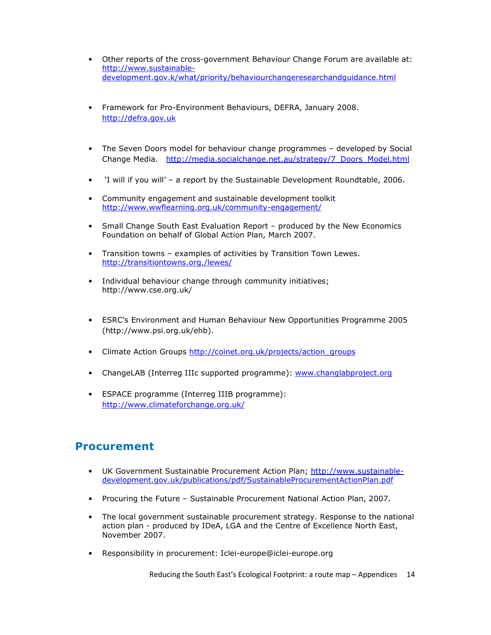- Other reports of the cross-government Behaviour Change Forum are available at: http://www.sustainabledevelopment.gov.k/what/priority/behaviourchangeresearchandguidance.html
- Framework for Pro-Environment Behaviours, DEFRA, January 2008. http://defra.gov.uk
- The Seven Doors model for behaviour change programmes developed by Social Change Media. http://media.socialchange.net.au/strategy/7\_Doors\_Model.html
- 'I will if you will' a report by the Sustainable Development Roundtable, 2006.
- Community engagement and sustainable development toolkit http://www.wwflearning.org.uk/community-engagement/
- Small Change South East Evaluation Report produced by the New Economics Foundation on behalf of Global Action Plan, March 2007.
- Transition towns examples of activities by Transition Town Lewes. http://transitiontowns.org./lewes/
- Individual behaviour change through community initiatives; http://www.cse.org.uk/
- ESRC's Environment and Human Behaviour New Opportunities Programme 2005 (http://www.psi.org.uk/ehb).
- Climate Action Groups http://coinet.org.uk/projects/action\_groups
- ChangeLAB (Interreg IIIc supported programme): www.changlabproject.org
- ESPACE programme (Interreg IIIB programme): http://www.climateforchange.org.uk/

### Procurement

- UK Government Sustainable Procurement Action Plan; http://www.sustainabledevelopment.gov.uk/publications/pdf/SustainableProcurementActionPlan.pdf
- Procuring the Future Sustainable Procurement National Action Plan, 2007.
- The local government sustainable procurement strategy. Response to the national action plan - produced by IDeA, LGA and the Centre of Excellence North East, November 2007.
- Responsibility in procurement: Iclei-europe@iclei-europe.org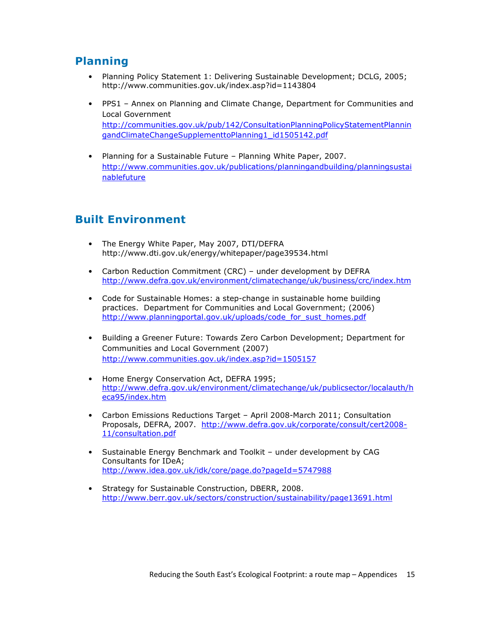## Planning

- Planning Policy Statement 1: Delivering Sustainable Development; DCLG, 2005; http://www.communities.gov.uk/index.asp?id=1143804
- PPS1 Annex on Planning and Climate Change, Department for Communities and Local Government http://communities.gov.uk/pub/142/ConsultationPlanningPolicyStatementPlannin gandClimateChangeSupplementtoPlanning1\_id1505142.pdf
- Planning for a Sustainable Future Planning White Paper, 2007. http://www.communities.gov.uk/publications/planningandbuilding/planningsustai nablefuture

# Built Environment

- The Energy White Paper, May 2007, DTI/DEFRA http://www.dti.gov.uk/energy/whitepaper/page39534.html
- Carbon Reduction Commitment (CRC) under development by DEFRA http://www.defra.gov.uk/environment/climatechange/uk/business/crc/index.htm
- Code for Sustainable Homes: a step-change in sustainable home building practices. Department for Communities and Local Government; (2006) http://www.planningportal.gov.uk/uploads/code\_for\_sust\_homes.pdf
- Building a Greener Future: Towards Zero Carbon Development; Department for Communities and Local Government (2007) http://www.communities.gov.uk/index.asp?id=1505157
- Home Energy Conservation Act, DEFRA 1995; http://www.defra.gov.uk/environment/climatechange/uk/publicsector/localauth/h eca95/index.htm
- Carbon Emissions Reductions Target April 2008-March 2011; Consultation Proposals, DEFRA, 2007. http://www.defra.gov.uk/corporate/consult/cert2008- 11/consultation.pdf
- Sustainable Energy Benchmark and Toolkit under development by CAG Consultants for IDeA; http://www.idea.gov.uk/idk/core/page.do?pageId=5747988
- Strategy for Sustainable Construction, DBERR, 2008. http://www.berr.gov.uk/sectors/construction/sustainability/page13691.html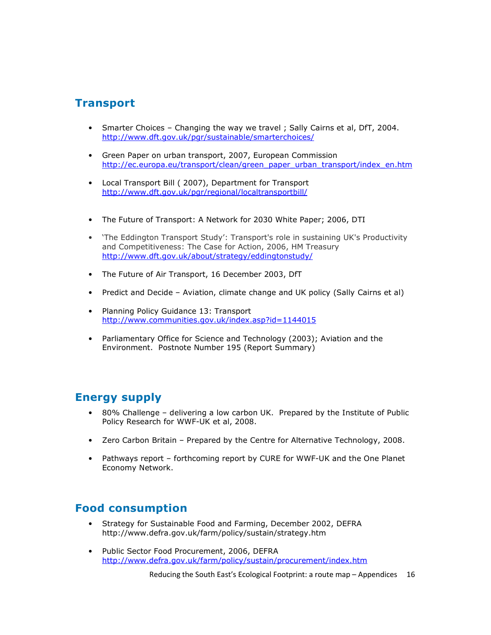### Transport

- Smarter Choices Changing the way we travel ; Sally Cairns et al, DfT, 2004. http://www.dft.gov.uk/pgr/sustainable/smarterchoices/
- Green Paper on urban transport, 2007, European Commission http://ec.europa.eu/transport/clean/green\_paper\_urban\_transport/index\_en.htm
- Local Transport Bill ( 2007), Department for Transport http://www.dft.gov.uk/pgr/regional/localtransportbill/
- The Future of Transport: A Network for 2030 White Paper; 2006, DTI
- 'The Eddington Transport Study': Transport's role in sustaining UK's Productivity and Competitiveness: The Case for Action, 2006, HM Treasury http://www.dft.gov.uk/about/strategy/eddingtonstudy/
- The Future of Air Transport, 16 December 2003, DfT
- Predict and Decide Aviation, climate change and UK policy (Sally Cairns et al)
- Planning Policy Guidance 13: Transport http://www.communities.gov.uk/index.asp?id=1144015
- Parliamentary Office for Science and Technology (2003); Aviation and the Environment. Postnote Number 195 (Report Summary)

### Energy supply

- 80% Challenge delivering a low carbon UK. Prepared by the Institute of Public Policy Research for WWF-UK et al, 2008.
- Zero Carbon Britain Prepared by the Centre for Alternative Technology, 2008.
- Pathways report forthcoming report by CURE for WWF-UK and the One Planet Economy Network.

### Food consumption

- Strategy for Sustainable Food and Farming, December 2002, DEFRA http://www.defra.gov.uk/farm/policy/sustain/strategy.htm
- Public Sector Food Procurement, 2006, DEFRA http://www.defra.gov.uk/farm/policy/sustain/procurement/index.htm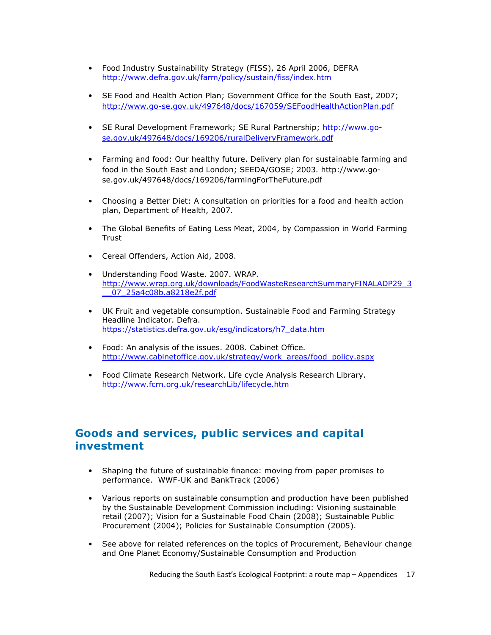- Food Industry Sustainability Strategy (FISS), 26 April 2006, DEFRA http://www.defra.gov.uk/farm/policy/sustain/fiss/index.htm
- SE Food and Health Action Plan; Government Office for the South East, 2007; http://www.go-se.gov.uk/497648/docs/167059/SEFoodHealthActionPlan.pdf
- SE Rural Development Framework; SE Rural Partnership; http://www.gose.gov.uk/497648/docs/169206/ruralDeliveryFramework.pdf
- Farming and food: Our healthy future. Delivery plan for sustainable farming and food in the South East and London; SEEDA/GOSE; 2003. http://www.gose.gov.uk/497648/docs/169206/farmingForTheFuture.pdf
- Choosing a Better Diet: A consultation on priorities for a food and health action plan, Department of Health, 2007.
- The Global Benefits of Eating Less Meat, 2004, by Compassion in World Farming **Trust**
- Cereal Offenders, Action Aid, 2008.
- Understanding Food Waste. 2007. WRAP. http://www.wrap.org.uk/downloads/FoodWasteResearchSummaryFINALADP29\_3 \_\_07\_25a4c08b.a8218e2f.pdf
- UK Fruit and vegetable consumption. Sustainable Food and Farming Strategy Headline Indicator. Defra. https://statistics.defra.gov.uk/esg/indicators/h7\_data.htm
- Food: An analysis of the issues. 2008. Cabinet Office. http://www.cabinetoffice.gov.uk/strategy/work\_areas/food\_policy.aspx
- Food Climate Research Network. Life cycle Analysis Research Library. http://www.fcrn.org.uk/researchLib/lifecycle.htm

### Goods and services, public services and capital investment

- Shaping the future of sustainable finance: moving from paper promises to performance. WWF-UK and BankTrack (2006)
- Various reports on sustainable consumption and production have been published by the Sustainable Development Commission including: Visioning sustainable retail (2007); Vision for a Sustainable Food Chain (2008); Sustainable Public Procurement (2004); Policies for Sustainable Consumption (2005).
- See above for related references on the topics of Procurement, Behaviour change and One Planet Economy/Sustainable Consumption and Production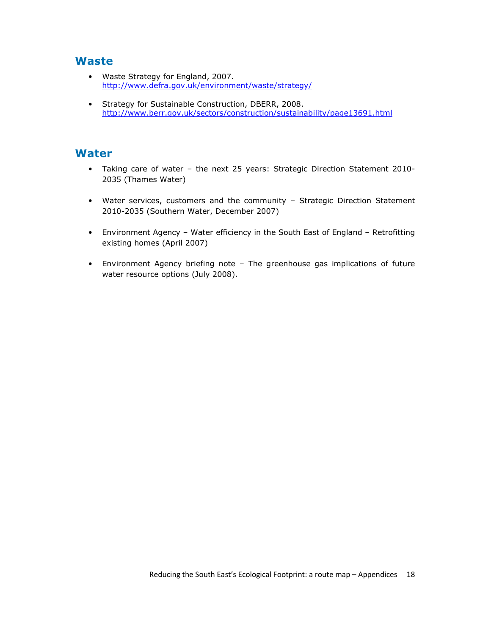### Waste

- Waste Strategy for England, 2007. http://www.defra.gov.uk/environment/waste/strategy/
- Strategy for Sustainable Construction, DBERR, 2008. http://www.berr.gov.uk/sectors/construction/sustainability/page13691.html

#### Water

- Taking care of water the next 25 years: Strategic Direction Statement 2010- 2035 (Thames Water)
- Water services, customers and the community Strategic Direction Statement 2010-2035 (Southern Water, December 2007)
- Environment Agency Water efficiency in the South East of England Retrofitting existing homes (April 2007)
- Environment Agency briefing note The greenhouse gas implications of future water resource options (July 2008).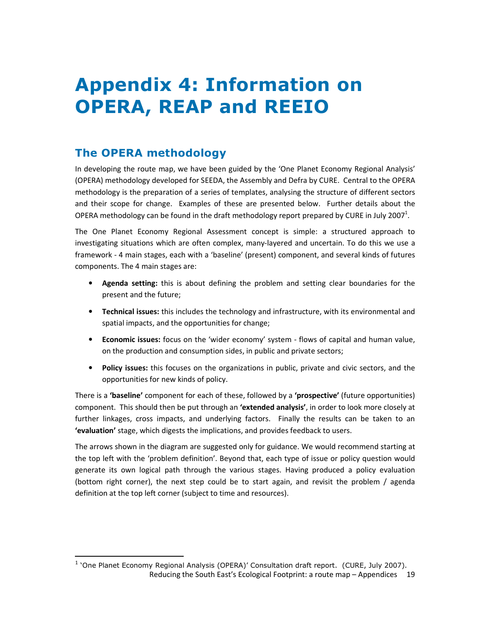# Appendix 4: Information on OPERA, REAP and REEIO

# The OPERA methodology

l,

In developing the route map, we have been guided by the 'One Planet Economy Regional Analysis' (OPERA) methodology developed for SEEDA, the Assembly and Defra by CURE. Central to the OPERA methodology is the preparation of a series of templates, analysing the structure of different sectors and their scope for change. Examples of these are presented below. Further details about the OPERA methodology can be found in the draft methodology report prepared by CURE in July 2007<sup>1</sup>.

The One Planet Economy Regional Assessment concept is simple: a structured approach to investigating situations which are often complex, many-layered and uncertain. To do this we use a framework - 4 main stages, each with a 'baseline' (present) component, and several kinds of futures components. The 4 main stages are:

- Agenda setting: this is about defining the problem and setting clear boundaries for the present and the future;
- Technical issues: this includes the technology and infrastructure, with its environmental and spatial impacts, and the opportunities for change;
- Economic issues: focus on the 'wider economy' system flows of capital and human value, on the production and consumption sides, in public and private sectors;
- Policy issues: this focuses on the organizations in public, private and civic sectors, and the opportunities for new kinds of policy.

There is a 'baseline' component for each of these, followed by a 'prospective' (future opportunities) component. This should then be put through an 'extended analysis', in order to look more closely at further linkages, cross impacts, and underlying factors. Finally the results can be taken to an 'evaluation' stage, which digests the implications, and provides feedback to users.

The arrows shown in the diagram are suggested only for guidance. We would recommend starting at the top left with the 'problem definition'. Beyond that, each type of issue or policy question would generate its own logical path through the various stages. Having produced a policy evaluation (bottom right corner), the next step could be to start again, and revisit the problem / agenda definition at the top left corner (subject to time and resources).

Reducing the South East's Ecological Footprint: a route map – Appendices 19 <sup>1</sup> 'One Planet Economy Regional Analysis (OPERA)' Consultation draft report. (CURE, July 2007).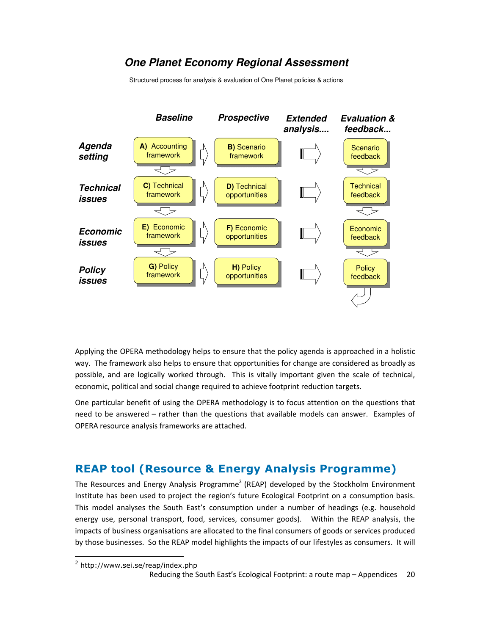### **One Planet Economy Regional Assessment**

Structured process for analysis & evaluation of One Planet policies & actions



Applying the OPERA methodology helps to ensure that the policy agenda is approached in a holistic way. The framework also helps to ensure that opportunities for change are considered as broadly as possible, and are logically worked through. This is vitally important given the scale of technical, economic, political and social change required to achieve footprint reduction targets.

One particular benefit of using the OPERA methodology is to focus attention on the questions that need to be answered – rather than the questions that available models can answer. Examples of OPERA resource analysis frameworks are attached.

## REAP tool (Resource & Energy Analysis Programme)

The Resources and Energy Analysis Programme<sup>2</sup> (REAP) developed by the Stockholm Environment Institute has been used to project the region's future Ecological Footprint on a consumption basis. This model analyses the South East's consumption under a number of headings (e.g. household energy use, personal transport, food, services, consumer goods). Within the REAP analysis, the impacts of business organisations are allocated to the final consumers of goods or services produced by those businesses. So the REAP model highlights the impacts of our lifestyles as consumers. It will

l,

<sup>&</sup>lt;sup>2</sup> http://www.sei.se/reap/index.php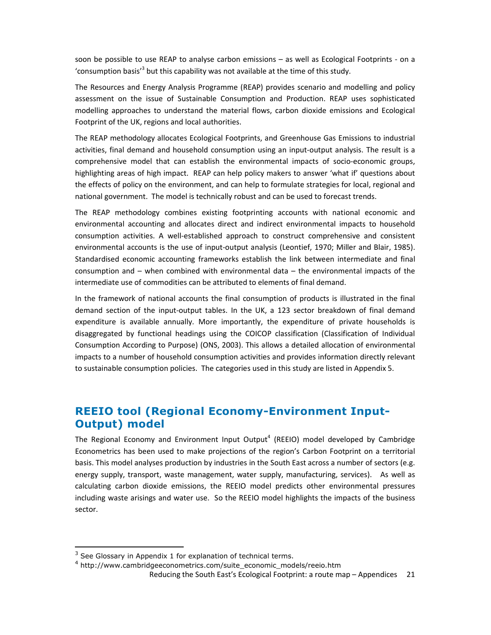soon be possible to use REAP to analyse carbon emissions – as well as Ecological Footprints - on a 'consumption basis'<sup>3</sup> but this capability was not available at the time of this study.

The Resources and Energy Analysis Programme (REAP) provides scenario and modelling and policy assessment on the issue of Sustainable Consumption and Production. REAP uses sophisticated modelling approaches to understand the material flows, carbon dioxide emissions and Ecological Footprint of the UK, regions and local authorities.

The REAP methodology allocates Ecological Footprints, and Greenhouse Gas Emissions to industrial activities, final demand and household consumption using an input-output analysis. The result is a comprehensive model that can establish the environmental impacts of socio-economic groups, highlighting areas of high impact. REAP can help policy makers to answer 'what if' questions about the effects of policy on the environment, and can help to formulate strategies for local, regional and national government. The model is technically robust and can be used to forecast trends.

The REAP methodology combines existing footprinting accounts with national economic and environmental accounting and allocates direct and indirect environmental impacts to household consumption activities. A well-established approach to construct comprehensive and consistent environmental accounts is the use of input-output analysis (Leontief, 1970; Miller and Blair, 1985). Standardised economic accounting frameworks establish the link between intermediate and final consumption and – when combined with environmental data – the environmental impacts of the intermediate use of commodities can be attributed to elements of final demand.

In the framework of national accounts the final consumption of products is illustrated in the final demand section of the input-output tables. In the UK, a 123 sector breakdown of final demand expenditure is available annually. More importantly, the expenditure of private households is disaggregated by functional headings using the COICOP classification (Classification of Individual Consumption According to Purpose) (ONS, 2003). This allows a detailed allocation of environmental impacts to a number of household consumption activities and provides information directly relevant to sustainable consumption policies. The categories used in this study are listed in Appendix 5.

### REEIO tool (Regional Economy-Environment Input-Output) model

The Regional Economy and Environment Input Output<sup>4</sup> (REEIO) model developed by Cambridge Econometrics has been used to make projections of the region's Carbon Footprint on a territorial basis. This model analyses production by industries in the South East across a number of sectors (e.g. energy supply, transport, waste management, water supply, manufacturing, services). As well as calculating carbon dioxide emissions, the REEIO model predicts other environmental pressures including waste arisings and water use. So the REEIO model highlights the impacts of the business sector.

1

 $3$  See Glossary in Appendix 1 for explanation of technical terms.

<sup>4</sup> http://www.cambridgeeconometrics.com/suite\_economic\_models/reeio.htm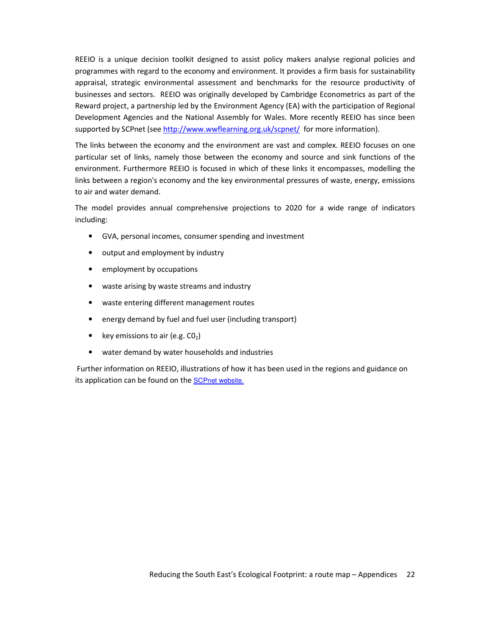REEIO is a unique decision toolkit designed to assist policy makers analyse regional policies and programmes with regard to the economy and environment. It provides a firm basis for sustainability appraisal, strategic environmental assessment and benchmarks for the resource productivity of businesses and sectors. REEIO was originally developed by Cambridge Econometrics as part of the Reward project, a partnership led by the Environment Agency (EA) with the participation of Regional Development Agencies and the National Assembly for Wales. More recently REEIO has since been supported by SCPnet (see http://www.wwflearning.org.uk/scpnet/ for more information).

The links between the economy and the environment are vast and complex. REEIO focuses on one particular set of links, namely those between the economy and source and sink functions of the environment. Furthermore REEIO is focused in which of these links it encompasses, modelling the links between a region's economy and the key environmental pressures of waste, energy, emissions to air and water demand.

The model provides annual comprehensive projections to 2020 for a wide range of indicators including:

- GVA, personal incomes, consumer spending and investment
- output and employment by industry
- employment by occupations
- waste arising by waste streams and industry
- waste entering different management routes
- energy demand by fuel and fuel user (including transport)
- key emissions to air (e.g.  $CO<sub>2</sub>$ )
- water demand by water households and industries

 Further information on REEIO, illustrations of how it has been used in the regions and guidance on its application can be found on the SCPnet website.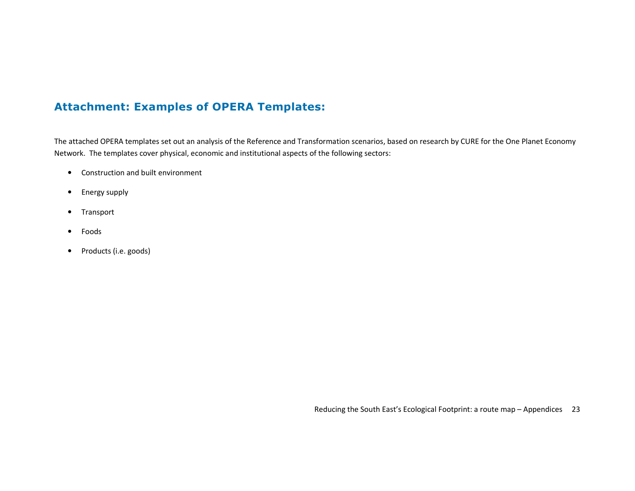# Attachment: Examples of OPERA Templates:

The attached OPERA templates set out an analysis of the Reference and Transformation scenarios, based on research by CURE for the One Planet Economy Network. The templates cover physical, economic and institutional aspects of the following sectors:

- Construction and built environment
- Energy supply
- Transport
- Foods
- Products (i.e. goods)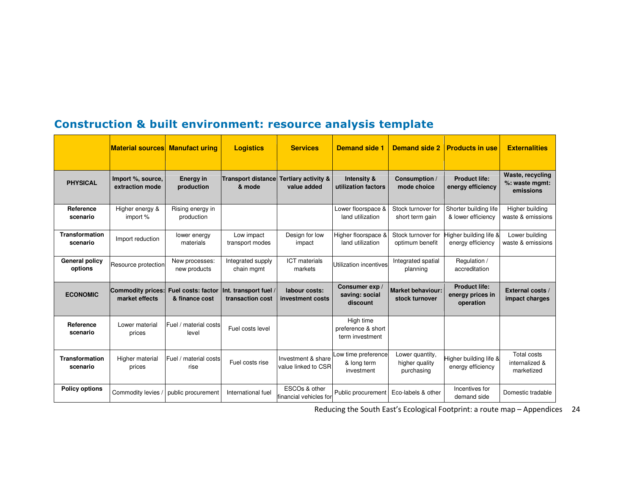|                                   | <b>Material sources</b>              | <b>Manufact uring</b>                | <b>Logistics</b>                          | <b>Services</b>                                     | <b>Demand side 1</b>                               | <b>Demand side 2</b>                            | <b>Products in use</b>                                | <b>Externalities</b>                               |
|-----------------------------------|--------------------------------------|--------------------------------------|-------------------------------------------|-----------------------------------------------------|----------------------------------------------------|-------------------------------------------------|-------------------------------------------------------|----------------------------------------------------|
| <b>PHYSICAL</b>                   | Import %, source,<br>extraction mode | <b>Energy in</b><br>production       | <b>Transport distance</b><br>& mode       | Tertiary activity &<br>value added                  | Intensity &<br>utilization factors                 | Consumption /<br>mode choice                    | <b>Product life:</b><br>energy efficiency             | Waste, recycling<br>%: waste mgmt:<br>emissions    |
| Reference<br>scenario             | Higher energy &<br>import %          | Rising energy in<br>production       |                                           |                                                     | Lower floorspace &<br>land utilization             | Stock turnover for<br>short term gain           | Shorter building life<br>& lower efficiency           | Higher building<br>waste & emissions               |
| <b>Transformation</b><br>scenario | Import reduction                     | lower energy<br>materials            | Low impact<br>transport modes             | Design for low<br>impact                            | Higher floorspace &<br>land utilization            | Stock turnover for<br>optimum benefit           | ligher building life &<br>energy efficiency           | Lower building<br>waste & emissions                |
| <b>General policy</b><br>options  | Resource protection                  | New processes:<br>new products       | Integrated supply<br>chain mgmt           | <b>ICT</b> materials<br>markets                     | Utilization incentives                             | Integrated spatial<br>planning                  | Regulation /<br>accreditation                         |                                                    |
| <b>ECONOMIC</b>                   | Commodity prices:<br>market effects  | Fuel costs: factor<br>& finance cost | Int. transport fuel /<br>transaction cost | labour costs:<br>investment costs                   | Consumer exp /<br>saving: social<br>discount       | <b>Market behaviour:</b><br>stock turnover      | <b>Product life:</b><br>energy prices in<br>operation | External costs /<br>impact charges                 |
| Reference<br>scenario             | Lower material<br>prices             | Fuel / material costs<br>level       | Fuel costs level                          |                                                     | High time<br>preference & short<br>term investment |                                                 |                                                       |                                                    |
| <b>Transformation</b><br>scenario | Higher material<br>prices            | Fuel / material costs<br>rise        | Fuel costs rise                           | Investment & share<br>value linked to CSR           | Low time preference<br>& long term<br>investment   | Lower quantity,<br>higher quality<br>purchasing | ligher building life &<br>energy efficiency           | <b>Total costs</b><br>internalized &<br>marketized |
| <b>Policy options</b>             | Commodity levies                     | public procurement                   | International fuel                        | ESCO <sub>s</sub> & other<br>financial vehicles for | Public procurement                                 | Eco-labels & other                              | Incentives for<br>demand side                         | Domestic tradable                                  |

# Construction & built environment: resource analysis template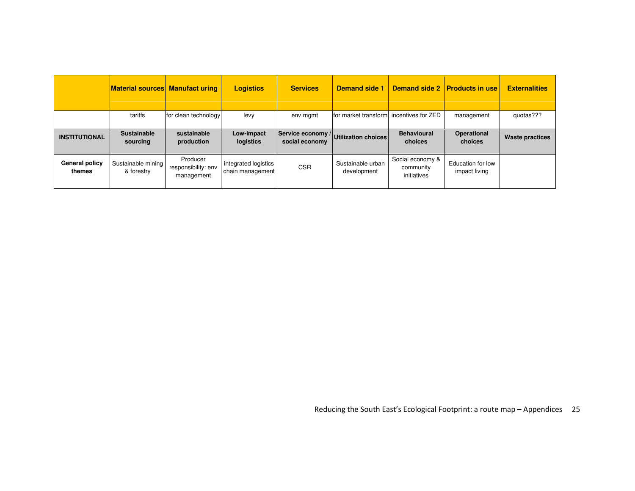|                          | <b>Material sources Manufact uring</b> |                                               | <b>Logistics</b>                         | <b>Services</b> | <b>Demand side 1</b>                    | <b>Demand side 2</b>                         | <b>Products in use</b>                    | <b>Externalities</b>   |
|--------------------------|----------------------------------------|-----------------------------------------------|------------------------------------------|-----------------|-----------------------------------------|----------------------------------------------|-------------------------------------------|------------------------|
|                          | tariffs                                | for clean technology                          | levy                                     | env.mgmt        | for market transform incentives for ZED |                                              | management                                | quotas???              |
| <b>INSTITUTIONAL</b>     | <b>Sustainable</b><br>sourcing         | sustainable<br>production                     | Low-impact<br>logistics                  | social economy  | Service economy / Utilization choices   | <b>Behavioural</b><br>choices                | Operational<br>choices                    | <b>Waste practices</b> |
| General policy<br>themes | Sustainable mining<br>& forestry       | Producer<br>responsibility: env<br>management | integrated logistics<br>chain management | <b>CSR</b>      | Sustainable urban<br>development        | Social economy &<br>community<br>initiatives | <b>Education for low</b><br>impact living |                        |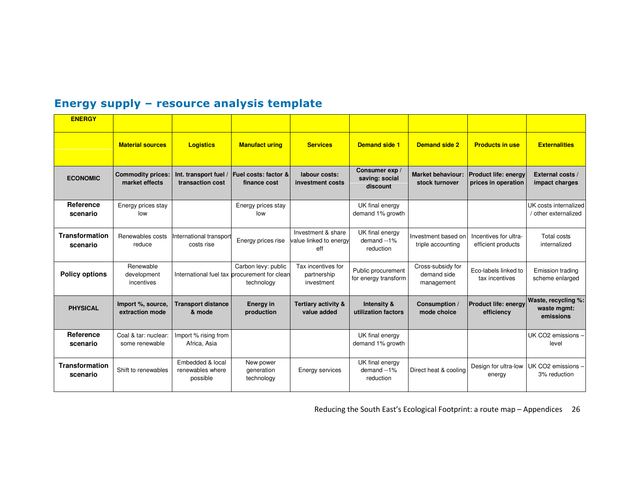# Energy supply – resource analysis template

| <b>ENERGY</b>                     |                                            |                                                  |                                                                                   |                                                     |                                              |                                                |                                                    |                                                 |
|-----------------------------------|--------------------------------------------|--------------------------------------------------|-----------------------------------------------------------------------------------|-----------------------------------------------------|----------------------------------------------|------------------------------------------------|----------------------------------------------------|-------------------------------------------------|
|                                   | <b>Material sources</b>                    | <b>Logistics</b>                                 | <b>Manufact uring</b>                                                             | <b>Services</b>                                     | <b>Demand side 1</b>                         | <b>Demand side 2</b>                           | <b>Products in use</b>                             | <b>Externalities</b>                            |
| <b>ECONOMIC</b>                   | <b>Commodity prices:</b><br>market effects | Int. transport fuel<br>transaction cost          | Fuel costs: factor &<br>finance cost                                              | labour costs:<br>investment costs                   | Consumer exp /<br>saving: social<br>discount | <b>Market behaviour:</b><br>stock turnover     | <b>Product life: energy</b><br>prices in operation | External costs /<br>impact charges              |
| Reference<br>scenario             | Energy prices stay<br>low                  |                                                  | Energy prices stay<br>low                                                         |                                                     | UK final energy<br>demand 1% growth          |                                                |                                                    | UK costs internalized<br>/ other externalized   |
| Transformation<br>scenario        | Renewables costs<br>reduce                 | nternational transport<br>costs rise             | Energy prices rise                                                                | Investment & share<br>value linked to energy<br>eff | UK final energy<br>demand --1%<br>reduction  | Investment based on<br>triple accounting       | Incentives for ultra-<br>efficient products        | Total costs<br>internalized                     |
| <b>Policy options</b>             | Renewable<br>development<br>incentives     |                                                  | Carbon levy: public<br>International fuel tax procurement for clean<br>technology | Tax incentives for<br>partnership<br>investment     | Public procurement<br>for energy transform   | Cross-subsidy for<br>demand side<br>management | Eco-labels linked to<br>tax incentives             | Emission trading<br>scheme enlarged             |
| <b>PHYSICAL</b>                   | Import %, source,<br>extraction mode       | <b>Transport distance</b><br>& mode              | <b>Energy in</b><br>production                                                    | <b>Tertiary activity &amp;</b><br>value added       | Intensity &<br>utilization factors           | Consumption /<br>mode choice                   | <b>Product life: energy</b><br>efficiency          | Waste, recycling %:<br>waste mgmt:<br>emissions |
| Reference<br>scenario             | Coal & tar: nuclear:<br>some renewable     | Import % rising from<br>Africa, Asia             |                                                                                   |                                                     | UK final energy<br>demand 1% growth          |                                                |                                                    | UK CO2 emissions -<br>level                     |
| <b>Transformation</b><br>scenario | Shift to renewables                        | Embedded & local<br>renewables where<br>possible | New power<br>generation<br>technology                                             | Energy services                                     | UK final energy<br>demand --1%<br>reduction  | Direct heat & cooling                          | Design for ultra-low<br>energy                     | UK CO2 emissions -<br>3% reduction              |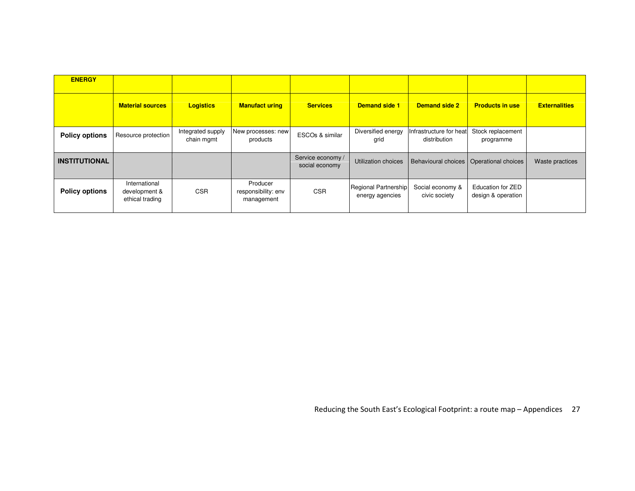| <b>ENERGY</b>         |                                                   |                                 |                                               |                                     |                                         |                                           |                                         |                      |
|-----------------------|---------------------------------------------------|---------------------------------|-----------------------------------------------|-------------------------------------|-----------------------------------------|-------------------------------------------|-----------------------------------------|----------------------|
|                       | <b>Material sources</b>                           | <b>Logistics</b>                | <b>Manufact uring</b>                         | <b>Services</b>                     | <b>Demand side 1</b>                    | <b>Demand side 2</b>                      | <b>Products in use</b>                  | <b>Externalities</b> |
| <b>Policy options</b> | Resource protection                               | Integrated supply<br>chain mgmt | New processes: new<br>products                | ESCOs & similar                     | Diversified energy<br>grid              | Infrastructure for heat<br>distribution   | Stock replacement<br>programme          |                      |
| <b>INSTITUTIONAL</b>  |                                                   |                                 |                                               | Service economy /<br>social economy | Utilization choices                     | Behavioural choices   Operational choices |                                         | Waste practices      |
| <b>Policy options</b> | International<br>development &<br>ethical trading | <b>CSR</b>                      | Producer<br>responsibility: env<br>management | <b>CSR</b>                          | Regional Partnership<br>energy agencies | Social economy &<br>civic society         | Education for ZED<br>design & operation |                      |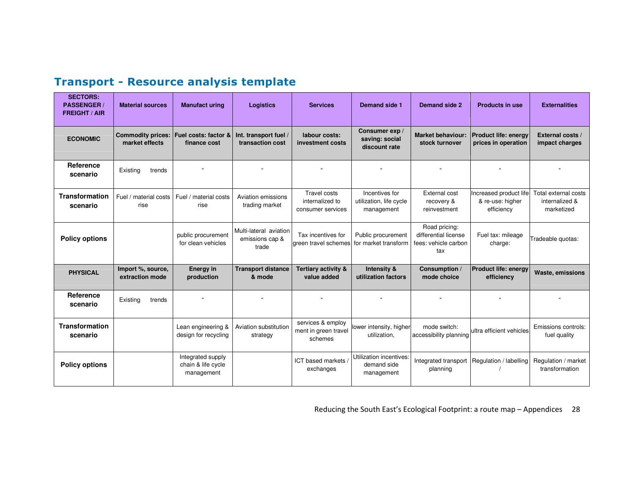| <b>SECTORS:</b><br><b>PASSENGER/</b><br><b>FREIGHT / AIR</b> | <b>Material sources</b>                    | <b>Manufact uring</b>                                 | <b>Logistics</b>                                   | <b>Services</b>                                             | Demand side 1                                           | Demand side 2                                                        | <b>Products in use</b>                                   | <b>Externalities</b>                                 |
|--------------------------------------------------------------|--------------------------------------------|-------------------------------------------------------|----------------------------------------------------|-------------------------------------------------------------|---------------------------------------------------------|----------------------------------------------------------------------|----------------------------------------------------------|------------------------------------------------------|
| <b>ECONOMIC</b>                                              | <b>Commodity prices:</b><br>market effects | Fuel costs: factor &<br>finance cost                  | Int. transport fuel /<br>transaction cost          | labour costs:<br>investment costs                           | Consumer exp /<br>saving: social<br>discount rate       | <b>Market behaviour:</b><br>stock turnover                           | <b>Product life: energy</b><br>prices in operation       | External costs /<br>impact charges                   |
| Reference<br>scenario                                        | Existing<br>trends                         |                                                       |                                                    |                                                             |                                                         |                                                                      |                                                          |                                                      |
| <b>Transformation</b><br>scenario                            | Fuel / material costs<br>rise              | Fuel / material costs<br>rise                         | Aviation emissions<br>trading market               | <b>Travel costs</b><br>internalized to<br>consumer services | Incentives for<br>utilization, life cycle<br>management | <b>External cost</b><br>recovery &<br>reinvestment                   | Increased product life<br>& re-use: higher<br>efficiency | Total external costs<br>internalized &<br>marketized |
| <b>Policy options</b>                                        |                                            | public procurement<br>for clean vehicles              | Multi-lateral aviation<br>emissions cap &<br>trade | Tax incentives for<br>green travel schemes                  | Public procurement<br>for market transform              | Road pricing:<br>differential license<br>fees: vehicle carbon<br>tax | Fuel tax: mileage<br>charge:                             | Tradeable quotas:                                    |
| <b>PHYSICAL</b>                                              | Import %, source,<br>extraction mode       | <b>Energy in</b><br>production                        | <b>Transport distance</b><br>& mode                | <b>Tertiary activity &amp;</b><br>value added               | Intensity &<br>utilization factors                      | Consumption /<br>mode choice                                         | <b>Product life: energy</b><br>efficiency                | Waste, emissions                                     |
| Reference<br>scenario                                        | Existing<br>trends                         | $\alpha$                                              |                                                    |                                                             |                                                         |                                                                      |                                                          |                                                      |
| <b>Transformation</b><br>scenario                            |                                            | Lean engineering &<br>design for recycling            | Aviation substitution<br>strategy                  | services & employ<br>ment in green travel<br>schemes        | lower intensity, higher<br>utilization,                 | mode switch:<br>accessibility planning                               | ultra efficient vehicles                                 | Emissions controls:<br>fuel quality                  |
| <b>Policy options</b>                                        |                                            | Integrated supply<br>chain & life cycle<br>management |                                                    | ICT based markets<br>exchanges                              | Utilization incentives:<br>demand side<br>management    | Integrated transport<br>planning                                     | Regulation / labelling                                   | Regulation / market<br>transformation                |

# Transport - Resource analysis template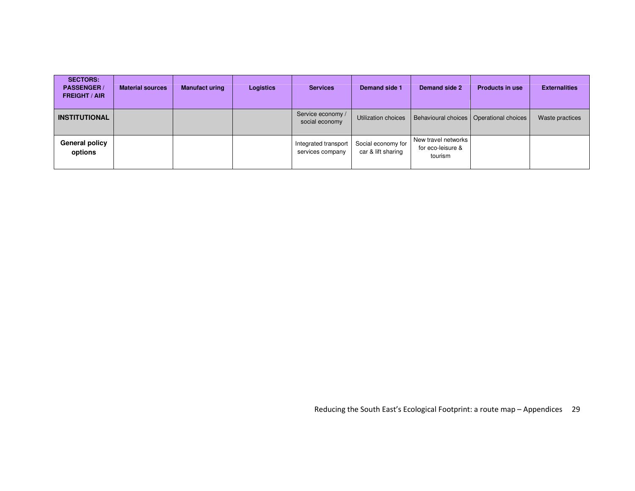| <b>SECTORS:</b><br><b>PASSENGER/</b><br><b>FREIGHT / AIR</b> | <b>Material sources</b> | <b>Manufact uring</b> | <b>Logistics</b> | <b>Services</b>                          | Demand side 1                            | Demand side 2                                       | <b>Products in use</b>                    | <b>Externalities</b> |
|--------------------------------------------------------------|-------------------------|-----------------------|------------------|------------------------------------------|------------------------------------------|-----------------------------------------------------|-------------------------------------------|----------------------|
| <b>INSTITUTIONAL</b>                                         |                         |                       |                  | Service economy /<br>social economy      | Utilization choices                      |                                                     | Behavioural choices   Operational choices | Waste practices      |
| <b>General policy</b><br>options                             |                         |                       |                  | Integrated transport<br>services company | Social economy for<br>car & lift sharing | New travel networks<br>for eco-leisure &<br>tourism |                                           |                      |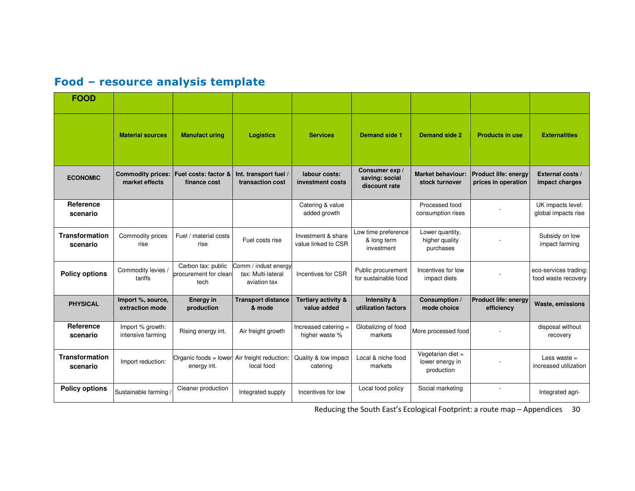| Food - resource analysis template |  |  |  |  |
|-----------------------------------|--|--|--|--|
|-----------------------------------|--|--|--|--|

| <b>FOOD</b>                       |                                            |                                                     |                                                            |                                           |                                                   |                                                    |                                                    |                                              |
|-----------------------------------|--------------------------------------------|-----------------------------------------------------|------------------------------------------------------------|-------------------------------------------|---------------------------------------------------|----------------------------------------------------|----------------------------------------------------|----------------------------------------------|
|                                   | <b>Material sources</b>                    | <b>Manufact uring</b>                               | <b>Logistics</b>                                           | <b>Services</b>                           | <b>Demand side 1</b>                              | <b>Demand side 2</b>                               | <b>Products in use</b>                             | <b>Externalities</b>                         |
| <b>ECONOMIC</b>                   | <b>Commodity prices:</b><br>market effects | Fuel costs: factor &<br>finance cost                | Int. transport fuel /<br>transaction cost                  | labour costs:<br>investment costs         | Consumer exp /<br>saving: social<br>discount rate | <b>Market behaviour:</b><br>stock turnover         | <b>Product life: energy</b><br>prices in operation | External costs /<br>impact charges           |
| Reference<br>scenario             |                                            |                                                     |                                                            | Catering & value<br>added growth          |                                                   | Processed food<br>consumption rises                |                                                    | UK impacts level:<br>global impacts rise     |
| Transformation<br>scenario        | Commodity prices<br>rise                   | Fuel / material costs<br>rise                       | Fuel costs rise                                            | Investment & share<br>value linked to CSR | Low time preference<br>& long term<br>investment  | Lower quantity,<br>higher quality<br>purchases     |                                                    | Subsidy on low<br>impact farming             |
| <b>Policy options</b>             | Commodity levies /<br>tariffs              | Carbon tax: public<br>procurement for clean<br>tech | Comm / indust energy<br>tax: Multi-lateral<br>aviation tax | Incentives for CSR                        | Public procurement<br>for sustainable food        | Incentives for low<br>impact diets                 |                                                    | eco-services trading:<br>food waste recovery |
| <b>PHYSICAL</b>                   | Import %, source,<br>extraction mode       | <b>Energy in</b><br>production                      | <b>Transport distance</b><br>& mode                        | Tertiary activity &<br>value added        | Intensity &<br>utilization factors                | Consumption /<br>mode choice                       | Product life: energy<br>efficiency                 | Waste, emissions                             |
| Reference<br>scenario             | Import % growth:<br>intensive farming      | Rising energy int.                                  | Air freight growth                                         | Increased catering =<br>higher waste %    | Globalizing of food<br>markets                    | More processed food                                |                                                    | disposal without<br>recovery                 |
| <b>Transformation</b><br>scenario | Import reduction:                          | Organic foods = lower<br>energy int.                | Air freight reduction:<br>local food                       | Quality & low impact<br>catering          | Local & niche food<br>markets                     | Vegetarian diet =<br>lower energy in<br>production |                                                    | Less waste $=$<br>increased utilization      |
| <b>Policy options</b>             | Sustainable farming                        | Cleaner production                                  | Integrated supply                                          | Incentives for low                        | Local food policy                                 | Social marketing                                   |                                                    | Integrated agri-                             |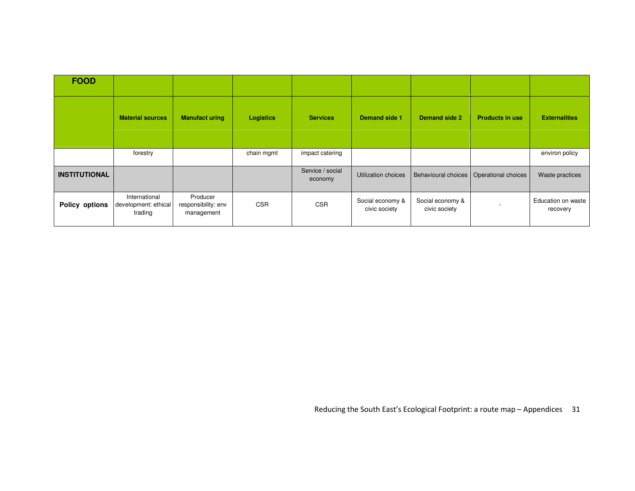| <b>FOOD</b>           |                                                  |                                               |                  |                             |                                   |                                   |                                           |                                |
|-----------------------|--------------------------------------------------|-----------------------------------------------|------------------|-----------------------------|-----------------------------------|-----------------------------------|-------------------------------------------|--------------------------------|
|                       | <b>Material sources</b>                          | <b>Manufact uring</b>                         | <b>Logistics</b> | <b>Services</b>             | Demand side 1                     | Demand side 2                     | <b>Products in use</b>                    | <b>Externalities</b>           |
|                       | forestry                                         |                                               | chain mgmt       | impact catering             |                                   |                                   |                                           | environ policy                 |
| <b>INSTITUTIONAL</b>  |                                                  |                                               |                  | Service / social<br>economy | Utilization choices               |                                   | Behavioural choices   Operational choices | Waste practices                |
| <b>Policy options</b> | International<br>development: ethical<br>trading | Producer<br>responsibility: env<br>management | <b>CSR</b>       | <b>CSR</b>                  | Social economy &<br>civic society | Social economy &<br>civic society |                                           | Education on waste<br>recovery |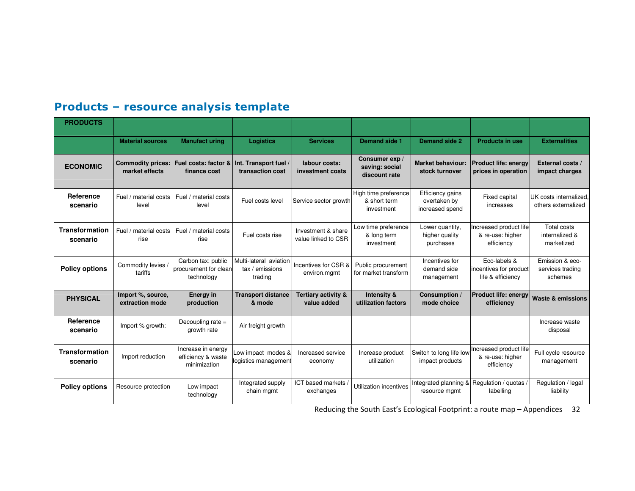# Products – resource analysis template

| <b>PRODUCTS</b>                   |                                            |                                                           |                                                      |                                           |                                                    |                                                     |                                                             |                                                |
|-----------------------------------|--------------------------------------------|-----------------------------------------------------------|------------------------------------------------------|-------------------------------------------|----------------------------------------------------|-----------------------------------------------------|-------------------------------------------------------------|------------------------------------------------|
|                                   | <b>Material sources</b>                    | <b>Manufact uring</b>                                     | <b>Logistics</b>                                     | <b>Services</b>                           | <b>Demand side 1</b>                               | Demand side 2                                       | <b>Products in use</b>                                      | <b>Externalities</b>                           |
| <b>ECONOMIC</b>                   | <b>Commodity prices:</b><br>market effects | Fuel costs: factor &<br>finance cost                      | Int. Transport fuel /<br>transaction cost            | labour costs:<br>investment costs         | Consumer exp /<br>saving: social<br>discount rate  | <b>Market behaviour:</b><br>stock turnover          | <b>Product life: energy</b><br>prices in operation          | External costs /<br>impact charges             |
| Reference<br>scenario             | Fuel / material costs<br>level             | Fuel / material costs<br>level                            | Fuel costs level                                     | Service sector growth                     | High time preference<br>& short term<br>investment | Efficiency gains<br>overtaken by<br>increased spend | <b>Fixed capital</b><br>increases                           | UK costs internalized.<br>others externalized  |
| <b>Transformation</b><br>scenario | Fuel / material costs<br>rise              | Fuel / material costs<br>rise                             | Fuel costs rise                                      | Investment & share<br>value linked to CSR | Low time preference<br>& long term<br>investment   | Lower quantity,<br>higher quality<br>purchases      | Increased product life<br>& re-use: higher<br>efficiency    | Total costs<br>internalized &<br>marketized    |
| <b>Policy options</b>             | Commodity levies /<br>tariffs              | Carbon tax: public<br>procurement for clean<br>technology | Multi-lateral aviation<br>tax / emissions<br>trading | Incentives for CSR &<br>environ.mgmt      | Public procurement<br>for market transform         | Incentives for<br>demand side<br>management         | Eco-labels &<br>incentives for product<br>life & efficiency | Emission & eco-<br>services trading<br>schemes |
| <b>PHYSICAL</b>                   | Import %, source,<br>extraction mode       | <b>Energy in</b><br>production                            | <b>Transport distance</b><br>& mode                  | Tertiary activity &<br>value added        | Intensity &<br>utilization factors                 | Consumption /<br>mode choice                        | <b>Product life: energy</b><br>efficiency                   | <b>Waste &amp; emissions</b>                   |
| Reference<br>scenario             | Import % growth:                           | Decoupling rate =<br>growth rate                          | Air freight growth                                   |                                           |                                                    |                                                     |                                                             | Increase waste<br>disposal                     |
| <b>Transformation</b><br>scenario | Import reduction                           | Increase in energy<br>efficiency & waste<br>minimization  | Low impact modes &<br>logistics management           | Increased service<br>economy              | Increase product<br>utilization                    | Switch to long life low<br>impact products          | Increased product life<br>& re-use: higher<br>efficiency    | Full cycle resource<br>management              |
| <b>Policy options</b>             | Resource protection                        | Low impact<br>technology                                  | Integrated supply<br>chain mgmt                      | ICT based markets<br>exchanges            | Utilization incentives                             | Integrated planning &<br>resource mgmt              | Regulation / guotas /<br>labelling                          | Regulation / legal<br>liability                |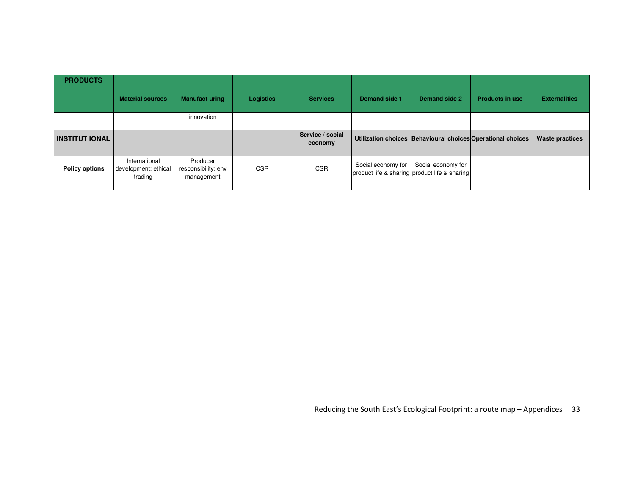| <b>PRODUCTS</b>       |                                                  |                                               |                  |                             |                    |                                                                     |                                                             |                        |
|-----------------------|--------------------------------------------------|-----------------------------------------------|------------------|-----------------------------|--------------------|---------------------------------------------------------------------|-------------------------------------------------------------|------------------------|
|                       | <b>Material sources</b>                          | <b>Manufact uring</b>                         | <b>Logistics</b> | <b>Services</b>             | Demand side 1      | Demand side 2                                                       | <b>Products in use</b>                                      | <b>Externalities</b>   |
|                       |                                                  | innovation                                    |                  |                             |                    |                                                                     |                                                             |                        |
| <b>INSTITUT IONAL</b> |                                                  |                                               |                  | Service / social<br>economy |                    |                                                                     | Utilization choices Behavioural choices Operational choices | <b>Waste practices</b> |
| <b>Policy options</b> | International<br>development: ethical<br>trading | Producer<br>responsibility: env<br>management | <b>CSR</b>       | <b>CSR</b>                  | Social economy for | Social economy for<br>product life & sharing product life & sharing |                                                             |                        |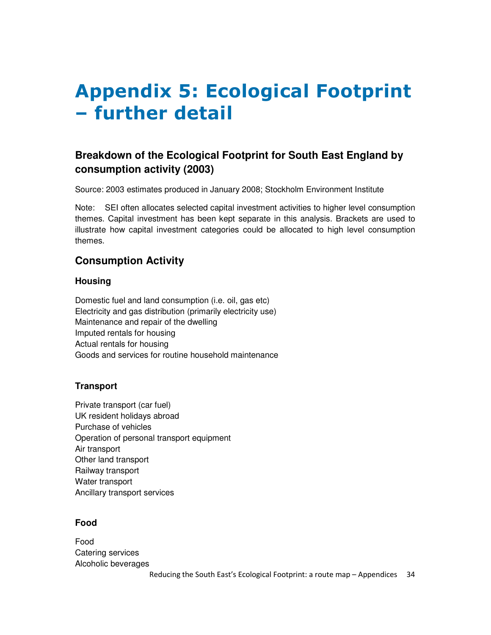# Appendix 5: Ecological Footprint – further detail

# **Breakdown of the Ecological Footprint for South East England by consumption activity (2003)**

Source: 2003 estimates produced in January 2008; Stockholm Environment Institute

Note: SEI often allocates selected capital investment activities to higher level consumption themes. Capital investment has been kept separate in this analysis. Brackets are used to illustrate how capital investment categories could be allocated to high level consumption themes.

### **Consumption Activity**

#### **Housing**

Domestic fuel and land consumption (i.e. oil, gas etc) Electricity and gas distribution (primarily electricity use) Maintenance and repair of the dwelling Imputed rentals for housing Actual rentals for housing Goods and services for routine household maintenance

#### **Transport**

Private transport (car fuel) UK resident holidays abroad Purchase of vehicles Operation of personal transport equipment Air transport Other land transport Railway transport Water transport Ancillary transport services

#### **Food**

Food Catering services Alcoholic beverages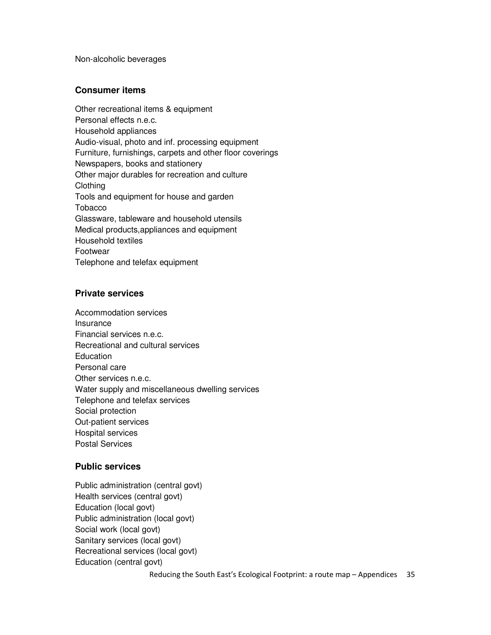Non-alcoholic beverages

#### **Consumer items**

Other recreational items & equipment Personal effects n.e.c. Household appliances Audio-visual, photo and inf. processing equipment Furniture, furnishings, carpets and other floor coverings Newspapers, books and stationery Other major durables for recreation and culture Clothing Tools and equipment for house and garden Tobacco Glassware, tableware and household utensils Medical products,appliances and equipment Household textiles Footwear Telephone and telefax equipment

#### **Private services**

Accommodation services Insurance Financial services n.e.c. Recreational and cultural services **Education** Personal care Other services n.e.c. Water supply and miscellaneous dwelling services Telephone and telefax services Social protection Out-patient services Hospital services Postal Services

#### **Public services**

Public administration (central govt) Health services (central govt) Education (local govt) Public administration (local govt) Social work (local govt) Sanitary services (local govt) Recreational services (local govt) Education (central govt)